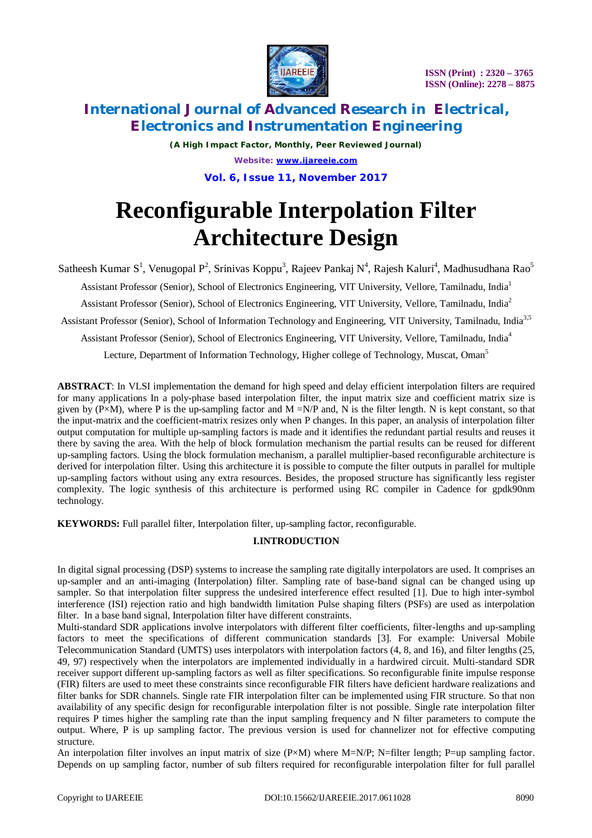

*(A High Impact Factor, Monthly, Peer Reviewed Journal) Website: [www.ijareeie.com](http://www.ijareeie.com)* **Vol. 6, Issue 11, November 2017**

# **Reconfigurable Interpolation Filter Architecture Design**

Satheesh Kumar S<sup>1</sup>, Venugopal P<sup>2</sup>, Srinivas Koppu<sup>3</sup>, Rajeev Pankaj N<sup>4</sup>, Rajesh Kaluri<sup>4</sup>, Madhusudhana Rao<sup>5</sup>

Assistant Professor (Senior), School of Electronics Engineering, VIT University, Vellore, Tamilnadu, India<sup>1</sup>

Assistant Professor (Senior), School of Electronics Engineering, VIT University, Vellore, Tamilnadu, India<sup>2</sup>

Assistant Professor (Senior), School of Information Technology and Engineering, VIT University, Tamilnadu, India<sup>3,5</sup>

Assistant Professor (Senior), School of Electronics Engineering, VIT University, Vellore, Tamilnadu, India<sup>4</sup>

Lecture, Department of Information Technology, Higher college of Technology, Muscat, Oman<sup>5</sup>

**ABSTRACT**: In VLSI implementation the demand for high speed and delay efficient interpolation filters are required for many applications In a poly-phase based interpolation filter, the input matrix size and coefficient matrix size is given by  $(P\times M)$ , where P is the up-sampling factor and M =N/P and, N is the filter length. N is kept constant, so that the input-matrix and the coefficient-matrix resizes only when P changes. In this paper, an analysis of interpolation filter output computation for multiple up-sampling factors is made and it identifies the redundant partial results and reuses it there by saving the area. With the help of block formulation mechanism the partial results can be reused for different up-sampling factors. Using the block formulation mechanism, a parallel multiplier-based reconfigurable architecture is derived for interpolation filter. Using this architecture it is possible to compute the filter outputs in parallel for multiple up-sampling factors without using any extra resources. Besides, the proposed structure has significantly less register complexity. The logic synthesis of this architecture is performed using RC compiler in Cadence for gpdk90nm technology.

**KEYWORDS:** Full parallel filter, Interpolation filter, up-sampling factor, reconfigurable.

### **I.INTRODUCTION**

In digital signal processing (DSP) systems to increase the sampling rate digitally interpolators are used. It comprises an up-sampler and an anti-imaging (Interpolation) filter. Sampling rate of base-band signal can be changed using up sampler. So that interpolation filter suppress the undesired interference effect resulted [1]. Due to high inter-symbol interference (ISI) rejection ratio and high bandwidth limitation Pulse shaping filters (PSFs) are used as interpolation filter. In a base band signal, Interpolation filter have different constraints.

Multi-standard SDR applications involve interpolators with different filter coefficients, filter-lengths and up-sampling factors to meet the specifications of different communication standards [3]. For example: Universal Mobile Telecommunication Standard (UMTS) uses interpolators with interpolation factors (4, 8, and 16), and filter lengths (25, 49, 97) respectively when the interpolators are implemented individually in a hardwired circuit. Multi-standard SDR receiver support different up-sampling factors as well as filter specifications. So reconfigurable finite impulse response (FIR) filters are used to meet these constraints since reconfigurable FIR filters have deficient hardware realizations and filter banks for SDR channels. Single rate FIR interpolation filter can be implemented using FIR structure. So that non availability of any specific design for reconfigurable interpolation filter is not possible. Single rate interpolation filter requires P times higher the sampling rate than the input sampling frequency and N filter parameters to compute the output. Where, P is up sampling factor. The previous version is used for channelizer not for effective computing structure.

An interpolation filter involves an input matrix of size  $(P \times M)$  where M=N/P; N=filter length; P=up sampling factor. Depends on up sampling factor, number of sub filters required for reconfigurable interpolation filter for full parallel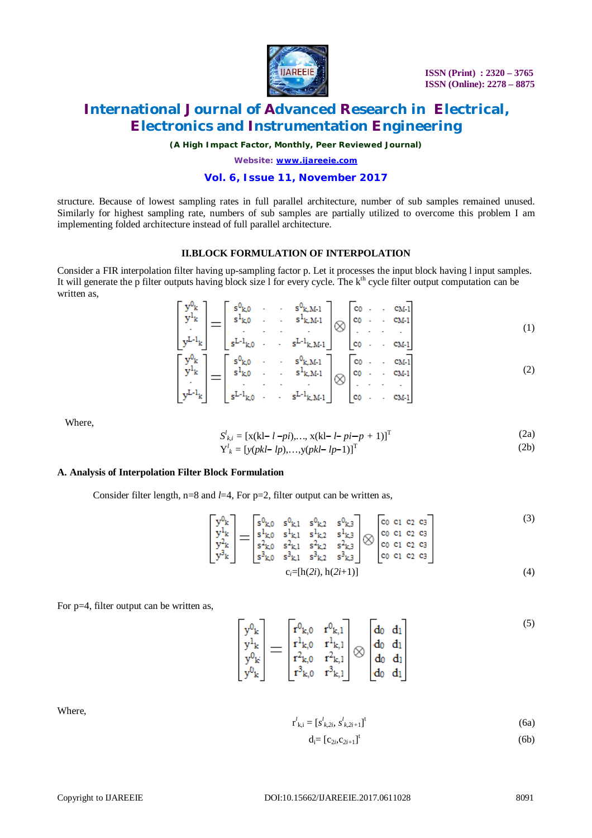

*(A High Impact Factor, Monthly, Peer Reviewed Journal)*

*Website: [www.ijareeie.com](http://www.ijareeie.com)*

### **Vol. 6, Issue 11, November 2017**

structure. Because of lowest sampling rates in full parallel architecture, number of sub samples remained unused. Similarly for highest sampling rate, numbers of sub samples are partially utilized to overcome this problem I am implementing folded architecture instead of full parallel architecture.

#### **II.BLOCK FORMULATION OF INTERPOLATION**

Consider a FIR interpolation filter having up-sampling factor p. Let it processes the input block having l input samples. It will generate the p filter outputs having block size  $\ell$  for every cycle. The  $k<sup>th</sup>$  cycle filter output computation can be written as,

$$
\begin{bmatrix} y^{0_k} \\ y^{1_k} \\ \vdots \\ y^{L-1_k} \end{bmatrix} = \begin{bmatrix} s^{0_{k,0}} & \cdots & s^{0_{k,M-1}} \\ s^{1_{k,0}} & \cdots & s^{1_{k,M-1}} \\ \vdots & \ddots & \vdots \\ s^{L-1_{k,0}} & \cdots & s^{L-1_{k,M-1}} \end{bmatrix} \otimes \begin{bmatrix} c_0 & \cdots & c_{M-1} \\ c_0 & \cdots & c_{M-1} \\ \vdots & \ddots & \vdots \\ c_0 & \cdots & c_{M-1} \end{bmatrix}
$$
\n
$$
\begin{bmatrix} y^{0_k} \\ y^{1_k} \\ \vdots \\ y^{L-1_k} \end{bmatrix} = \begin{bmatrix} s^{0_{k,0}} & \cdots & s^{0_{k,M-1}} \\ s^{1_{k,0}} & \cdots & s^{1_{k,M-1}} \\ \vdots & \vdots & \ddots & \vdots \\ s^{L-1_{k,M-1}} & \otimes & c_{M-1} \end{bmatrix} \otimes \begin{bmatrix} c_0 & \cdots & c_{M-1} \\ c_0 & \cdots & c_{M-1} \\ \vdots & \ddots & \vdots \\ c_0 & \cdots & c_{M-1} \end{bmatrix}
$$
\n(2)

Where,

$$
S_{k,i}^{l} = [x(kl - l - pi), ..., x(kl - l - pi - p + 1)]^{T}
$$
(2a)  

$$
S_{k,i}^{l} = [x(kl - l - pi), ..., x(kl - l - pi - p + 1)]^{T}
$$
(2b)

 $Y_k^l = [y(\text{pkl} - lp), ..., y(\text{pkl} - lp - 1)]^T$  (2b)

#### **A. Analysis of Interpolation Filter Block Formulation**

Consider filter length, n=8 and *l*=4, For p=2, filter output can be written as,

$$
\begin{bmatrix} y^{0_k} \\ y^{1_k} \\ y^{2_k} \\ y^{3_k} \end{bmatrix} = \begin{bmatrix} s^{0_{k,0}} & s^{0_{k,1}} & s^{0_{k,2}} & s^{0_{k,3}} \\ s^{1_{k,0}} & s^{1_{k,1}} & s^{1_{k,2}} & s^{1_{k,3}} \\ s^{2_{k,0}} & s^{2_{k,1}} & s^{2_{k,2}} & s^{2_{k,3}} \\ s^{3_{k,0}} & s^{3_{k,1}} & s^{3_{k,2}} & s^{3_{k,3}} \end{bmatrix} \otimes \begin{bmatrix} c_0 & c_1 & c_2 & c_3 \\ c_0 & c_1 & c_2 & c_3 \\ c_0 & c_1 & c_2 & c_3 \\ c_0 & c_1 & c_2 & c_3 \end{bmatrix}
$$
\n
$$
c_i = [h(2i), h(2i+1)] \tag{4}
$$

For p=4, filter output can be written as.

$$
\begin{bmatrix} y^{0_k} \\ y^{1_k} \\ y^{0_k} \\ y^{0_k} \end{bmatrix} = \begin{bmatrix} r^{0_{k,0}} & r^{0_{k,1}} \\ r^{1_{k,0}} & r^{1_{k,1}} \\ r^{2_{k,0}} & r^{2_{k,1}} \\ r^{3_{k,0}} & r^{3_{k,1}} \end{bmatrix} \otimes \begin{bmatrix} d_0 & d_1 \\ d_0 & d_1 \\ d_0 & d_1 \\ d_0 & d_1 \end{bmatrix}
$$
 (5)

Where,

$$
\mathbf{r}_{k,i}^l = [s_{k,2i}^l, s_{k,2i+1}^l]^t
$$
 (6a)

$$
d_i = [c_{2i}, c_{2i+1}]^t
$$
 (6b)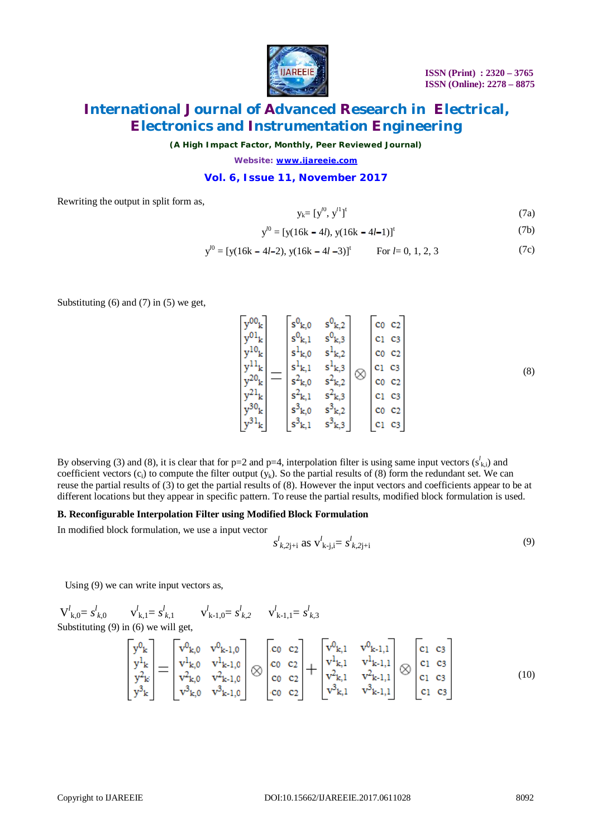

*(A High Impact Factor, Monthly, Peer Reviewed Journal)*

*Website: [www.ijareeie.com](http://www.ijareeie.com)*

#### **Vol. 6, Issue 11, November 2017**

 $\Gamma$  ...

Rewriting the output in split form as,

$$
y_k = [y^{l0}, y^{l1}]^t \tag{7a}
$$

$$
y^{0} = [y(16k - 4l), y(16k - 4l - 1)]^{t}
$$
 (7b)

$$
y^{0} = [y(16k - 4l - 2), y(16k - 4l - 3)]^{t}
$$
 For  $l = 0, 1, 2, 3$  (7c)

Substituting  $(6)$  and  $(7)$  in  $(5)$  we get,

$$
\begin{array}{c}\ny^{00}k \\
y^{01}k \\
y^{10}k \\
y^{10}k \\
y^{11}k \\
y^{20}k \\
y^{21}k \\
y^{30}k \\
y^{31}k\n\end{array} = \begin{array}{c}\ns^{0}k,0 & s^{0}k,2 \\
s^{0}k,1 & s^{0}k,3 \\
s^{1}k,0 & s^{1}k,2 \\
s^{2}k,0 & s^{2}k,2 \\
s^{2}k,1 & s^{2}k,3 \\
s^{3}k,0 & s^{3}k,2 \\
s^{3}k,1 & s^{3}k,3\n\end{array} \quad \begin{array}{c}\nc_0 & c_2 \\
c_1 & c_3 \\
c_0 & c_2 \\
c_1 & c_3 \\
c_1 & c_3 \\
c_1 & c_2 \\
c_1 & c_3\n\end{array} \quad (8)
$$

By observing (3) and (8), it is clear that for  $p=2$  and  $p=4$ , interpolation filter is using same input vectors  $(s^l_{k,i})$  and coefficient vectors  $(c_i)$  to compute the filter output  $(v_k)$ . So the partial results of (8) form the redundant set. We can reuse the partial results of (3) to get the partial results of (8). However the input vectors and coefficients appear to be at different locations but they appear in specific pattern. To reuse the partial results, modified block formulation is used.

#### **B. Reconfigurable Interpolation Filter using Modified Block Formulation**

In modified block formulation, we use a input vector

$$
s^{l}_{k,2j+i} \text{ as } \mathbf{v}^{l}_{k-j,i} = s^{l}_{k,2j+i} \tag{9}
$$

Using (9) we can write input vectors as,

$$
V_{k,0}^{l} = s_{k,0}^{l} \t V_{k,1}^{l} = s_{k,1}^{l} \t V_{k-1,0}^{l} = s_{k,2}^{l} \t V_{k-1,1}^{l} = s_{k,3}^{l}
$$
  
\nSubstituting (9) in (6) we will get,  
\n
$$
\begin{bmatrix}\ny_{k}^{0} \\
y_{k}^{1} \\
y_{k}^{2} \\
y_{k}^{3}\n\end{bmatrix} = \begin{bmatrix}\nv_{k,0}^{0} & v_{k-1,0}^{0} \\
v_{k,0}^{1} & v_{k-1,0}^{1} \\
v_{k,0}^{2} & v_{k-1,0}^{1} \\
v_{k,0}^{3} & v_{k-1,0}^{3}\n\end{bmatrix} \otimes \begin{bmatrix}\nc_{0} & c_{2} \\
c_{0} & c_{2} \\
c_{0} & c_{2} \\
c_{0} & c_{2}\n\end{bmatrix} + \begin{bmatrix}\nv_{k,1}^{0} & v_{k-1,1}^{0} \\
v_{k,1}^{1} & v_{k-1,1}^{1} \\
v_{k,1}^{1} & v_{k-1,1}^{1} \\
v_{k,1}^{2} & v_{k-1,1}^{2}\n\end{bmatrix} \otimes \begin{bmatrix}\nc_{1} & cs_{2} \\
c_{1} & cs_{2} \\
c_{1} & cs_{2} \\
c_{1} & cs_{2} \\
c_{1} & cs_{2}\n\end{bmatrix}
$$
\n(10)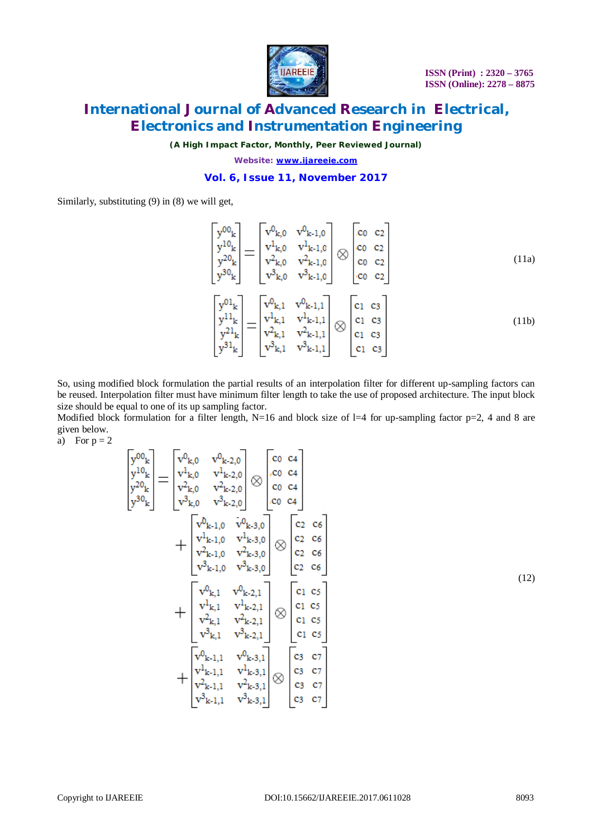

*(A High Impact Factor, Monthly, Peer Reviewed Journal)*

*Website: [www.ijareeie.com](http://www.ijareeie.com)*

### **Vol. 6, Issue 11, November 2017**

Similarly, substituting (9) in (8) we will get,

$$
\begin{bmatrix}\ny^{00}{}_{k} \\
y^{10}{}_{k} \\
y^{20}{}_{k}\n\end{bmatrix} = \begin{bmatrix}\nv^{0}{}_{k,0} & v^{0}{}_{k-1,0} \\
v^{1}{}_{k,0} & v^{1}{}_{k-1,0} \\
v^{2}{}_{k,0} & v^{2}{}_{k-1,0} \\
v^{30}{}_{k}\n\end{bmatrix} \otimes \begin{bmatrix}\nc_0 & c_2 \\
c_0 & c_2 \\
c_0 & c_2 \\
c_0 & c_2\n\end{bmatrix}
$$
\n(11a)\n
$$
\begin{bmatrix}\ny^{01}{}_{k} \\
y^{30}{}_{k}\n\end{bmatrix} = \begin{bmatrix}\nv^{0}{}_{k,1} & v^{0}{}_{k-1,1} \\
v^{1}{}_{k,1} & v^{1}{}_{k-1,1} \\
v^{2}{}_{k,1} & v^{1}{}_{k-1,1} \\
v^{2}{}_{k,1} & v^{2}{}_{k-1,1}\n\end{bmatrix} \otimes \begin{bmatrix}\nc_1 & c_3 \\
c_1 & c_3 \\
c_1 & c_3 \\
c_1 & c_3 \\
c_1 & c_3\n\end{bmatrix}
$$
\n(11b)

So, using modified block formulation the partial results of an interpolation filter for different up-sampling factors can be reused. Interpolation filter must have minimum filter length to take the use of proposed architecture. The input block size should be equal to one of its up sampling factor.

Modified block formulation for a filter length, N=16 and block size of l=4 for up-sampling factor  $p=2$ , 4 and 8 are given below.

a) For  $p = 2$ 

$$
\begin{aligned}\n\begin{bmatrix}\ny^{00}{}_{k} \\
y^{10}{}_{k} \\
y^{20}{}_{k}\n\end{bmatrix} &= \begin{bmatrix}\nv^{0}{}_{k,0} & v^{0}{}_{k-2,0} \\
v^{1}{}_{k,0} & v^{1}{}_{k-2,0} \\
v^{2}{}_{k,0} & v^{2}{}_{k-2,0} \\
v^{3}{}_{k,0} & v^{3}{}_{k-2,0}\n\end{bmatrix} \otimes \begin{bmatrix}\nc_{0} & c_{4} \\
c_{0} & c_{4} \\
c_{0} & c_{4}\n\end{bmatrix} \\
&+ \begin{bmatrix}\nv^{0}{}_{k-1,0} & v^{0}{}_{k-3,0} \\
v^{1}{}_{k-1,0} & v^{1}{}_{k-3,0} \\
v^{1}{}_{k-1,0} & v^{1}{}_{k-3,0} \\
v^{2}{}_{k-1,0} & v^{3}{}_{k-3,0}\n\end{bmatrix} \otimes \begin{bmatrix}\nc_{2} & c_{6} \\
c_{2} & c_{6} \\
c_{2} & c_{6} \\
c_{2} & c_{6}\n\end{bmatrix} \\
&+ \begin{bmatrix}\nv^{0}{}_{k,1} & v^{0}{}_{k-2,1} \\
v^{1}{}_{k,1} & v^{1}{}_{k-2,1} \\
v^{2}{}_{k,1} & v^{2}{}_{k-2,1}\n\end{bmatrix} \otimes \begin{bmatrix}\nc_{1} & c_{5} \\
c_{1} & c_{5} \\
c_{1} & c_{5} \\
c_{1} & c_{5}\n\end{bmatrix} \\
&+ \begin{bmatrix}\nv^{0}{}_{k-1,1} & v^{0}{}_{k-3,1} \\
v^{1}{}_{k-1,1} & v^{1}{}_{k-3,1} \\
v^{2}{}_{k-1,1} & v^{1}{}_{k-3,1} \\
v^{3}{}_{k-1,1} & v^{3}{}_{k-3,1}\n\end{bmatrix} \otimes \begin{bmatrix}\nc_{3} & c_{7} \\
c_{3} & c_{7} \\
c_{3} & c_{7} \\
c_{3} & c_{7}\n\end{bmatrix}\n\end{aligned}
$$

(12)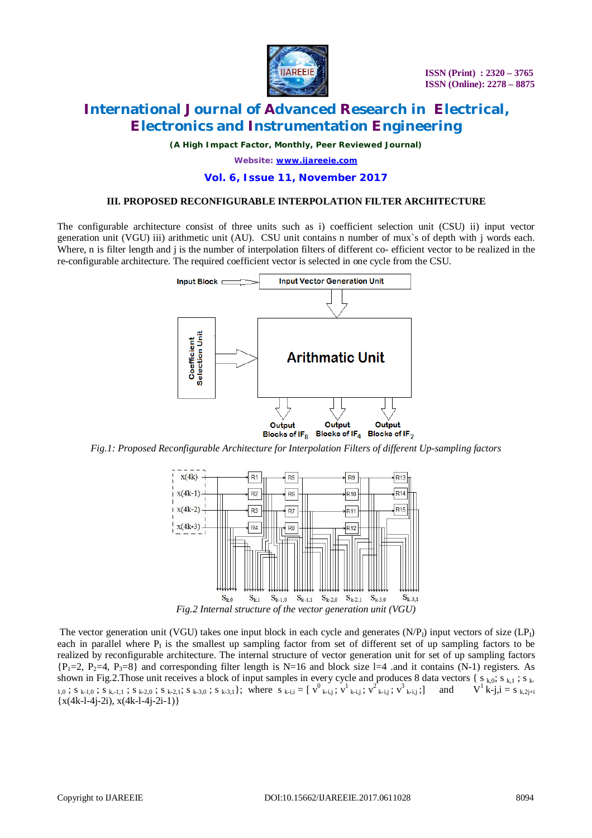

*(A High Impact Factor, Monthly, Peer Reviewed Journal)*

*Website: [www.ijareeie.com](http://www.ijareeie.com)*

#### **Vol. 6, Issue 11, November 2017**

#### **III. PROPOSED RECONFIGURABLE INTERPOLATION FILTER ARCHITECTURE**

The configurable architecture consist of three units such as i) coefficient selection unit (CSU) ii) input vector generation unit (VGU) iii) arithmetic unit (AU). CSU unit contains n number of mux`s of depth with j words each. Where, n is filter length and j is the number of interpolation filters of different co- efficient vector to be realized in the re-configurable architecture. The required coefficient vector is selected in one cycle from the CSU.



*Fig.1: Proposed Reconfigurable Architecture for Interpolation Filters of different Up-sampling factors*



The vector generation unit (VGU) takes one input block in each cycle and generates  $(N/P<sub>1</sub>)$  input vectors of size  $(LP<sub>1</sub>)$ each in parallel where  $P<sub>I</sub>$  is the smallest up sampling factor from set of different set of up sampling factors to be realized by reconfigurable architecture. The internal structure of vector generation unit for set of up sampling factors  ${P_1=2, P_2=4, P_3=8}$  and corresponding filter length is N=16 and block size l=4 .and it contains (N-1) registers. As shown in Fig.2. Those unit receives a block of input samples in every cycle and produces 8 data vectors  $\{s_{k,0}; s_{k,1}; s_{k-1}\}$  $_{1,0}$ ; s  $_{k-1,0}$ ; s  $_{k-1,1}$ ; s  $_{k-2,0}$ ; s  $_{k-2,1}$ ; s  $_{k-3,0}$ ; s  $_{k-3,1}$ }; where s  $_{k-i,j}$  = [ $v^0$  $_{k-i,j}$ ;  $v^1$  $_{k-i,j}$ ;  $v^2$  $_{k-i,j}$ ;  $v^3$  $_{k-i,j}$ ; ] and  $V^1$  $k-j$ , i = s  $_{k,2j+i}$  ${x(4k-l-4j-2i), x(4k-l-4j-2i-1)}$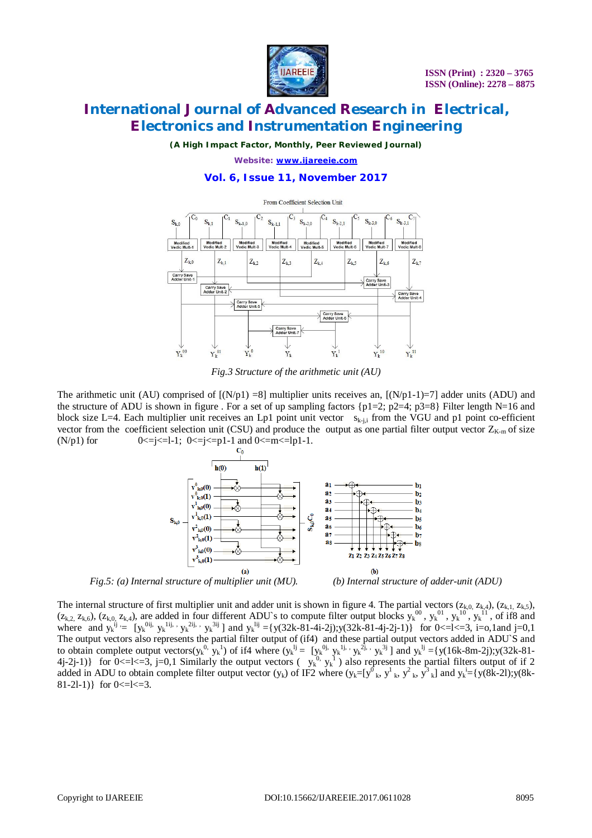

*(A High Impact Factor, Monthly, Peer Reviewed Journal)*

*Website: [www.ijareeie.com](http://www.ijareeie.com)*

### **Vol. 6, Issue 11, November 2017**



*Fig.3 Structure of the arithmetic unit (AU)*

The arithmetic unit (AU) comprised of  $[(N/p1) = 8]$  multiplier units receives an,  $[(N/p1-1)=7]$  adder units (ADU) and the structure of ADU is shown in figure . For a set of up sampling factors  $\{p1=2; p2=4; p3=8\}$  Filter length N=16 and block size L=4. Each multiplier unit receives an Lp1 point unit vector  $s_{k-i,j}$  from the VGU and p1 point co-efficient vector from the coefficient selection unit (CSU) and produce the output as one partial filter output vector  $Z_{K-m}$  of size (N/p1) for  $0 \le j \le -1$ ;  $0 \le j \le -p1-1$  and  $0 \le m \le -1$ p1-1.



 *Fig.5: (a) Internal structure of multiplier unit (MU). (b) Internal structure of adder-unit (ADU)*

The internal structure of first multiplier unit and adder unit is shown in figure 4. The partial vectors  $(z_{k,0}, z_{k,4})$ ,  $(z_{k,1}, z_{k,5})$ ,  $(z_{k,2, z_{k,6}})$ ,  $(z_{k,0, z_{k,4}})$ , are added in four different ADU's to compute filter output blocks  $y_k^{00}$ ,  $y_k^{01}$ ,  $y_k^{10}$ ,  $y_k^{11}$ , of if8 and where and  $y_k^{ij} = [y_k^{0ij}, y_k^{1ij}, y_k^{2ij}, y_k^{3ij}]$  and  $y_k^{1ij} = \{y(32k-81-4i-2j); y(32k-81-4j-2j-1)\}$  for  $0 \le -1 \le 3$ , i=o,1and j=0,1 The output vectors also represents the partial filter output of (if4) and these partial output vectors added in ADU`S and to obtain complete output vectors( $y_k^0$ ,  $y_k^1$ ) of if4 where ( $y_k^1$ ) = [ $y_k^0$ ,  $y_k^1$ ,  $y_k^2$ ,  $y_k^3$ ] and  $y_k^1$  ={y(16k-8m-2j);y(32k-81-4j-2j-1)} for  $0 \le k \le 3$ , j=0,1 Similarly the output vectors ( $y_k^{0}$ ,  $y_k^{1}$ ) also represents the partial filters output of if 2 added in ADU to obtain complete filter output vector  $(y_k)$  of IF2 where  $(y_k=[y_{k}^0, y_{k}^1, y_{k}^2, y_{k}^3]$  and  $y_k^i=[y(8k-21);y(8k-1)]$ 81-21-1) for  $0 \leq k = 3$ .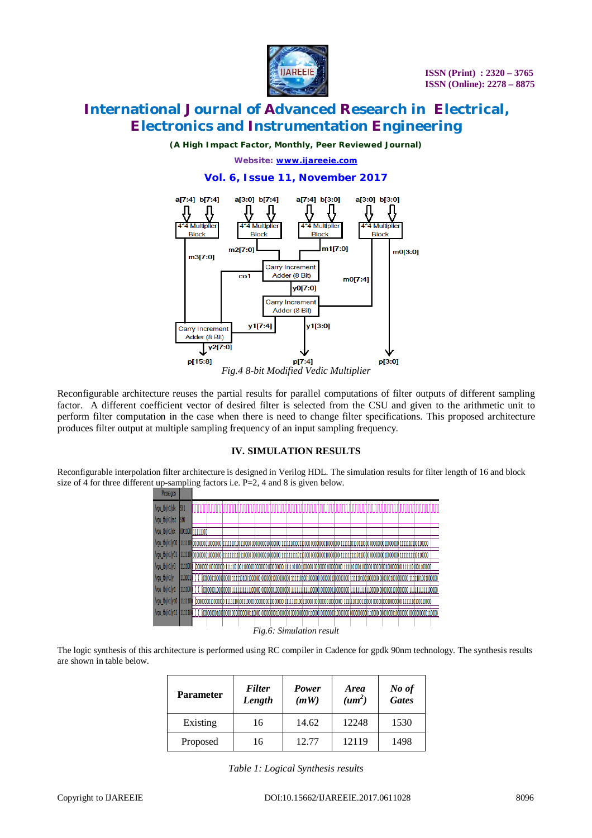

*(A High Impact Factor, Monthly, Peer Reviewed Journal)*

*Website: [www.ijareeie.com](http://www.ijareeie.com)*

### **Vol. 6, Issue 11, November 2017**



Reconfigurable architecture reuses the partial results for parallel computations of filter outputs of different sampling factor. A different coefficient vector of desired filter is selected from the CSU and given to the arithmetic unit to perform filter computation in the case when there is need to change filter specifications. This proposed architecture produces filter output at multiple sampling frequency of an input sampling frequency.

### **IV. SIMULATION RESULTS**

Reconfigurable interpolation filter architecture is designed in Verilog HDL. The simulation results for filter length of 16 and block size of 4 for three different up-sampling factors i.e.  $P=2$ , 4 and 8 is given below.



The logic synthesis of this architecture is performed using RC compiler in Cadence for gpdk 90nm technology. The synthesis results are shown in table below.

| <b>Parameter</b> | <b>Filter</b><br>Length | Power<br>(mW) | <b>Area</b><br>(u m <sup>2</sup> ) | No of<br><b>Gates</b> |
|------------------|-------------------------|---------------|------------------------------------|-----------------------|
| Existing         | 16                      | 14.62         | 12248                              | 1530                  |
| Proposed         | 16                      | 12.77         | 12119                              | 1498                  |

*Table 1: Logical Synthesis results*